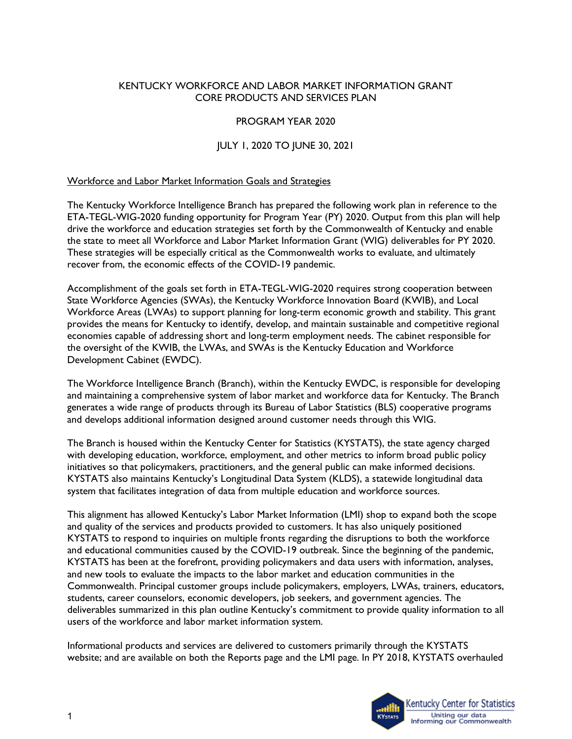## KENTUCKY WORKFORCE AND LABOR MARKET INFORMATION GRANT CORE PRODUCTS AND SERVICES PLAN

# PROGRAM YEAR 2020

# JULY 1, 2020 TO JUNE 30, 2021

#### Workforce and Labor Market Information Goals and Strategies

The Kentucky Workforce Intelligence Branch has prepared the following work plan in reference to the ETA-TEGL-WIG-2020 funding opportunity for Program Year (PY) 2020. Output from this plan will help drive the workforce and education strategies set forth by the Commonwealth of Kentucky and enable the state to meet all Workforce and Labor Market Information Grant (WIG) deliverables for PY 2020. These strategies will be especially critical as the Commonwealth works to evaluate, and ultimately recover from, the economic effects of the COVID-19 pandemic.

Accomplishment of the goals set forth in ETA-TEGL-WIG-2020 requires strong cooperation between State Workforce Agencies (SWAs), the Kentucky Workforce Innovation Board (KWIB), and Local Workforce Areas (LWAs) to support planning for long-term economic growth and stability. This grant provides the means for Kentucky to identify, develop, and maintain sustainable and competitive regional economies capable of addressing short and long-term employment needs. The cabinet responsible for the oversight of the KWIB, the LWAs, and SWAs is the Kentucky Education and Workforce Development Cabinet (EWDC).

The Workforce Intelligence Branch (Branch), within the Kentucky EWDC, is responsible for developing and maintaining a comprehensive system of labor market and workforce data for Kentucky. The Branch generates a wide range of products through its Bureau of Labor Statistics (BLS) cooperative programs and develops additional information designed around customer needs through this WIG.

The Branch is housed within the Kentucky Center for Statistics (KYSTATS), the state agency charged with developing education, workforce, employment, and other metrics to inform broad public policy initiatives so that policymakers, practitioners, and the general public can make informed decisions. KYSTATS also maintains Kentucky's Longitudinal Data System (KLDS), a statewide longitudinal data system that facilitates integration of data from multiple education and workforce sources.

This alignment has allowed Kentucky's Labor Market Information (LMI) shop to expand both the scope and quality of the services and products provided to customers. It has also uniquely positioned KYSTATS to respond to inquiries on multiple fronts regarding the disruptions to both the workforce and educational communities caused by the COVID-19 outbreak. Since the beginning of the pandemic, KYSTATS has been at the forefront, providing policymakers and data users with information, analyses, and new tools to evaluate the impacts to the labor market and education communities in the Commonwealth. Principal customer groups include policymakers, employers, LWAs, trainers, educators, students, career counselors, economic developers, job seekers, and government agencies. The deliverables summarized in this plan outline Kentucky's commitment to provide quality information to all users of the workforce and labor market information system.

Informational products and services are delivered to customers primarily through the KYSTATS website; and are available on both the Reports page and the LMI page. In PY 2018, KYSTATS overhauled

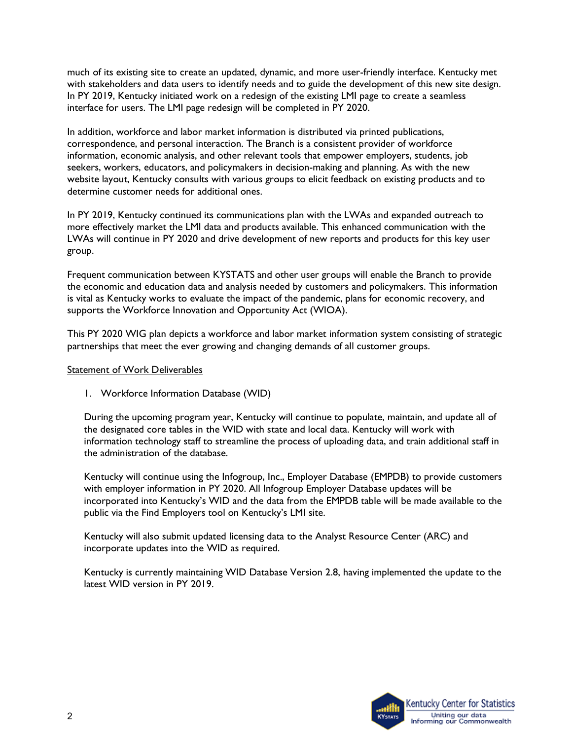much of its existing site to create an updated, dynamic, and more user-friendly interface. Kentucky met with stakeholders and data users to identify needs and to guide the development of this new site design. In PY 2019, Kentucky initiated work on a redesign of the existing LMI page to create a seamless interface for users. The LMI page redesign will be completed in PY 2020.

In addition, workforce and labor market information is distributed via printed publications, correspondence, and personal interaction. The Branch is a consistent provider of workforce information, economic analysis, and other relevant tools that empower employers, students, job seekers, workers, educators, and policymakers in decision-making and planning. As with the new website layout, Kentucky consults with various groups to elicit feedback on existing products and to determine customer needs for additional ones.

In PY 2019, Kentucky continued its communications plan with the LWAs and expanded outreach to more effectively market the LMI data and products available. This enhanced communication with the LWAs will continue in PY 2020 and drive development of new reports and products for this key user group.

Frequent communication between KYSTATS and other user groups will enable the Branch to provide the economic and education data and analysis needed by customers and policymakers. This information is vital as Kentucky works to evaluate the impact of the pandemic, plans for economic recovery, and supports the Workforce Innovation and Opportunity Act (WIOA).

This PY 2020 WIG plan depicts a workforce and labor market information system consisting of strategic partnerships that meet the ever growing and changing demands of all customer groups.

### Statement of Work Deliverables

1. Workforce Information Database (WID)

During the upcoming program year, Kentucky will continue to populate, maintain, and update all of the designated core tables in the WID with state and local data. Kentucky will work with information technology staff to streamline the process of uploading data, and train additional staff in the administration of the database.

Kentucky will continue using the Infogroup, Inc., Employer Database (EMPDB) to provide customers with employer information in PY 2020. All Infogroup Employer Database updates will be incorporated into Kentucky's WID and the data from the EMPDB table will be made available to the public via the Find Employers tool on Kentucky's LMI site.

Kentucky will also submit updated licensing data to the Analyst Resource Center (ARC) and incorporate updates into the WID as required.

Kentucky is currently maintaining WID Database Version 2.8, having implemented the update to the latest WID version in PY 2019.

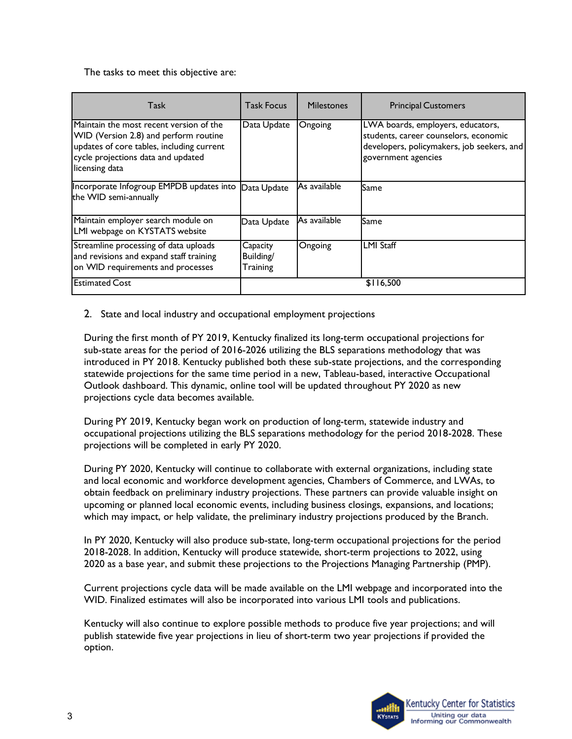The tasks to meet this objective are:

| Task                                                                                                                                                                                  | Task Focus                        | <b>Milestones</b> | <b>Principal Customers</b>                                                                                                                      |
|---------------------------------------------------------------------------------------------------------------------------------------------------------------------------------------|-----------------------------------|-------------------|-------------------------------------------------------------------------------------------------------------------------------------------------|
| Maintain the most recent version of the<br>WID (Version 2.8) and perform routine<br>updates of core tables, including current<br>cycle projections data and updated<br>licensing data | Data Update                       | Ongoing           | LWA boards, employers, educators,<br>students, career counselors, economic<br>developers, policymakers, job seekers, and<br>government agencies |
| Incorporate Infogroup EMPDB updates into Data Update<br>the WID semi-annually                                                                                                         |                                   | As available      | Same                                                                                                                                            |
| Maintain employer search module on<br>LMI webpage on KYSTATS website                                                                                                                  | Data Update                       | As available      | Same                                                                                                                                            |
| Streamline processing of data uploads<br>and revisions and expand staff training<br>on WID requirements and processes                                                                 | Capacity<br>Building/<br>Training | Ongoing           | <b>LMI Staff</b>                                                                                                                                |
| <b>Estimated Cost</b>                                                                                                                                                                 |                                   |                   | \$116,500                                                                                                                                       |

2. State and local industry and occupational employment projections

During the first month of PY 2019, Kentucky finalized its long-term occupational projections for sub-state areas for the period of 2016-2026 utilizing the BLS separations methodology that was introduced in PY 2018. Kentucky published both these sub-state projections, and the corresponding statewide projections for the same time period in a new, Tableau-based, interactive Occupational Outlook dashboard. This dynamic, online tool will be updated throughout PY 2020 as new projections cycle data becomes available.

During PY 2019, Kentucky began work on production of long-term, statewide industry and occupational projections utilizing the BLS separations methodology for the period 2018-2028. These projections will be completed in early PY 2020.

During PY 2020, Kentucky will continue to collaborate with external organizations, including state and local economic and workforce development agencies, Chambers of Commerce, and LWAs, to obtain feedback on preliminary industry projections. These partners can provide valuable insight on upcoming or planned local economic events, including business closings, expansions, and locations; which may impact, or help validate, the preliminary industry projections produced by the Branch.

In PY 2020, Kentucky will also produce sub-state, long-term occupational projections for the period 2018-2028. In addition, Kentucky will produce statewide, short-term projections to 2022, using 2020 as a base year, and submit these projections to the Projections Managing Partnership (PMP).

Current projections cycle data will be made available on the LMI webpage and incorporated into the WID. Finalized estimates will also be incorporated into various LMI tools and publications.

Kentucky will also continue to explore possible methods to produce five year projections; and will publish statewide five year projections in lieu of short-term two year projections if provided the option.

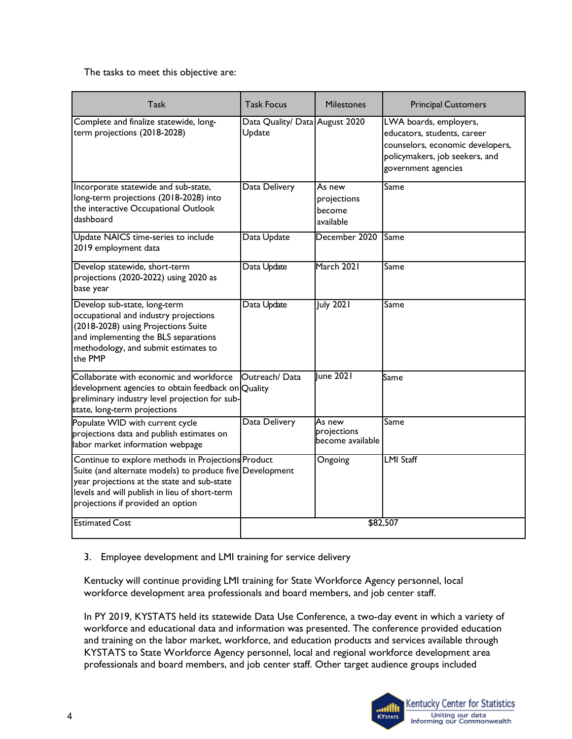The tasks to meet this objective are:

| Task                                                                                                                                                                                                                                                | <b>Task Focus</b>                        | <b>Milestones</b>                            | <b>Principal Customers</b>                                                                                                                         |
|-----------------------------------------------------------------------------------------------------------------------------------------------------------------------------------------------------------------------------------------------------|------------------------------------------|----------------------------------------------|----------------------------------------------------------------------------------------------------------------------------------------------------|
| Complete and finalize statewide, long-<br>term projections (2018-2028)                                                                                                                                                                              | Data Quality/ Data August 2020<br>Update |                                              | LWA boards, employers,<br>educators, students, career<br>counselors, economic developers,<br>policymakers, job seekers, and<br>government agencies |
| Incorporate statewide and sub-state,<br>long-term projections (2018-2028) into<br>the interactive Occupational Outlook<br>dashboard                                                                                                                 | Data Delivery                            | As new<br>projections<br>become<br>available | Same                                                                                                                                               |
| Update NAICS time-series to include<br>2019 employment data                                                                                                                                                                                         | Data Update                              | December 2020                                | Same                                                                                                                                               |
| Develop statewide, short-term<br>projections (2020-2022) using 2020 as<br>base year                                                                                                                                                                 | Data Update                              | March 2021                                   | Same                                                                                                                                               |
| Develop sub-state, long-term<br>occupational and industry projections<br>(2018-2028) using Projections Suite<br>and implementing the BLS separations<br>methodology, and submit estimates to<br>the PMP                                             | Data Update                              | <b>July 2021</b>                             | Same                                                                                                                                               |
| Collaborate with economic and workforce<br>development agencies to obtain feedback on Quality<br>preliminary industry level projection for sub-<br>state, long-term projections                                                                     | Outreach/Data                            | <b>lune 2021</b>                             | Same                                                                                                                                               |
| Populate WID with current cycle<br>projections data and publish estimates on<br>labor market information webpage                                                                                                                                    | Data Delivery                            | As new<br>projections<br>become available    | Same                                                                                                                                               |
| Continue to explore methods in Projections Product<br>Suite (and alternate models) to produce five Development<br>year projections at the state and sub-state<br>levels and will publish in lieu of short-term<br>projections if provided an option |                                          | Ongoing                                      | <b>LMI Staff</b>                                                                                                                                   |
| <b>Estimated Cost</b>                                                                                                                                                                                                                               |                                          |                                              | \$82,507                                                                                                                                           |

3. Employee development and LMI training for service delivery

Kentucky will continue providing LMI training for State Workforce Agency personnel, local workforce development area professionals and board members, and job center staff.

In PY 2019, KYSTATS held its statewide Data Use Conference, a two-day event in which a variety of workforce and educational data and information was presented. The conference provided education and training on the labor market, workforce, and education products and services available through KYSTATS to State Workforce Agency personnel, local and regional workforce development area professionals and board members, and job center staff. Other target audience groups included

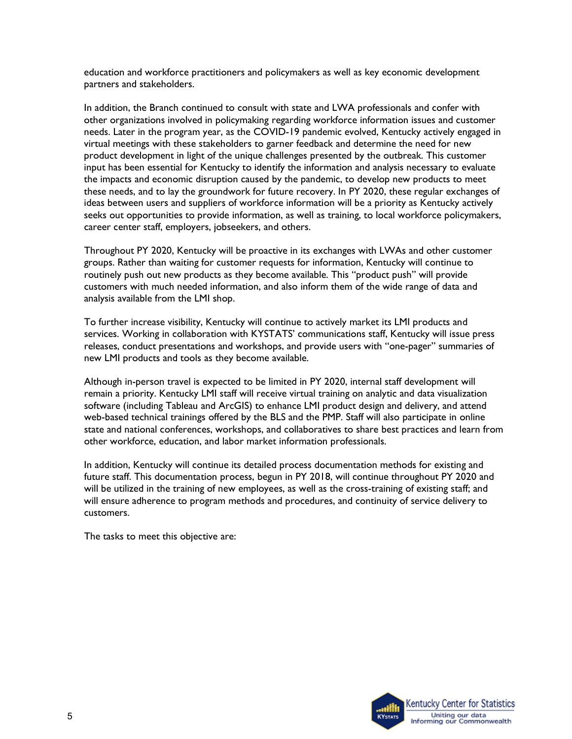education and workforce practitioners and policymakers as well as key economic development partners and stakeholders.

In addition, the Branch continued to consult with state and LWA professionals and confer with other organizations involved in policymaking regarding workforce information issues and customer needs. Later in the program year, as the COVID-19 pandemic evolved, Kentucky actively engaged in virtual meetings with these stakeholders to garner feedback and determine the need for new product development in light of the unique challenges presented by the outbreak. This customer input has been essential for Kentucky to identify the information and analysis necessary to evaluate the impacts and economic disruption caused by the pandemic, to develop new products to meet these needs, and to lay the groundwork for future recovery. In PY 2020, these regular exchanges of ideas between users and suppliers of workforce information will be a priority as Kentucky actively seeks out opportunities to provide information, as well as training, to local workforce policymakers, career center staff, employers, jobseekers, and others.

Throughout PY 2020, Kentucky will be proactive in its exchanges with LWAs and other customer groups. Rather than waiting for customer requests for information, Kentucky will continue to routinely push out new products as they become available. This "product push" will provide customers with much needed information, and also inform them of the wide range of data and analysis available from the LMI shop.

To further increase visibility, Kentucky will continue to actively market its LMI products and services. Working in collaboration with KYSTATS' communications staff, Kentucky will issue press releases, conduct presentations and workshops, and provide users with "one-pager" summaries of new LMI products and tools as they become available.

Although in-person travel is expected to be limited in PY 2020, internal staff development will remain a priority. Kentucky LMI staff will receive virtual training on analytic and data visualization software (including Tableau and ArcGIS) to enhance LMI product design and delivery, and attend web-based technical trainings offered by the BLS and the PMP. Staff will also participate in online state and national conferences, workshops, and collaboratives to share best practices and learn from other workforce, education, and labor market information professionals.

In addition, Kentucky will continue its detailed process documentation methods for existing and future staff. This documentation process, begun in PY 2018, will continue throughout PY 2020 and will be utilized in the training of new employees, as well as the cross-training of existing staff; and will ensure adherence to program methods and procedures, and continuity of service delivery to customers.

The tasks to meet this objective are:

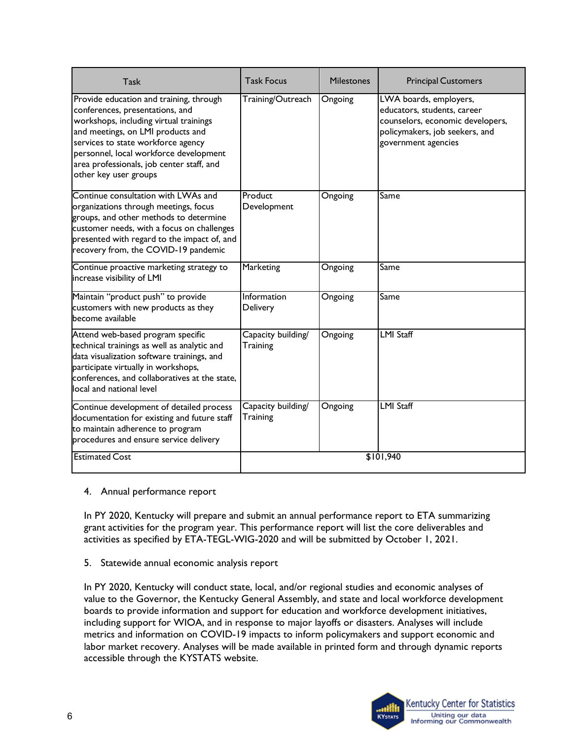| Task                                                                                                                                                                                                                                                                                                            | <b>Task Focus</b>              | <b>Milestones</b> | <b>Principal Customers</b>                                                                                                                         |
|-----------------------------------------------------------------------------------------------------------------------------------------------------------------------------------------------------------------------------------------------------------------------------------------------------------------|--------------------------------|-------------------|----------------------------------------------------------------------------------------------------------------------------------------------------|
| Provide education and training, through<br>conferences, presentations, and<br>workshops, including virtual trainings<br>and meetings, on LMI products and<br>services to state workforce agency<br>personnel, local workforce development<br>area professionals, job center staff, and<br>other key user groups | Training/Outreach              | Ongoing           | LWA boards, employers,<br>educators, students, career<br>counselors, economic developers,<br>policymakers, job seekers, and<br>government agencies |
| Continue consultation with LWAs and<br>organizations through meetings, focus<br>groups, and other methods to determine<br>customer needs, with a focus on challenges<br>presented with regard to the impact of, and<br>recovery from, the COVID-19 pandemic                                                     | Product<br>Development         | Ongoing           | Same                                                                                                                                               |
| Continue proactive marketing strategy to<br>increase visibility of LMI                                                                                                                                                                                                                                          | Marketing                      | Ongoing           | Same                                                                                                                                               |
| Maintain "product push" to provide<br>customers with new products as they<br>become available                                                                                                                                                                                                                   | Information<br>Delivery        | Ongoing           | Same                                                                                                                                               |
| Attend web-based program specific<br>technical trainings as well as analytic and<br>data visualization software trainings, and<br>participate virtually in workshops,<br>conferences, and collaboratives at the state,<br>local and national level                                                              | Capacity building/<br>Training | Ongoing           | <b>LMI Staff</b>                                                                                                                                   |
| Continue development of detailed process<br>documentation for existing and future staff<br>to maintain adherence to program<br>procedures and ensure service delivery                                                                                                                                           | Capacity building/<br>Training | Ongoing           | <b>LMI Staff</b>                                                                                                                                   |
| <b>Estimated Cost</b>                                                                                                                                                                                                                                                                                           | \$101,940                      |                   |                                                                                                                                                    |

#### 4. Annual performance report

In PY 2020, Kentucky will prepare and submit an annual performance report to ETA summarizing grant activities for the program year. This performance report will list the core deliverables and activities as specified by ETA-TEGL-WIG-2020 and will be submitted by October 1, 2021.

#### 5. Statewide annual economic analysis report

In PY 2020, Kentucky will conduct state, local, and/or regional studies and economic analyses of value to the Governor, the Kentucky General Assembly, and state and local workforce development boards to provide information and support for education and workforce development initiatives, including support for WIOA, and in response to major layoffs or disasters. Analyses will include metrics and information on COVID-19 impacts to inform policymakers and support economic and labor market recovery. Analyses will be made available in printed form and through dynamic reports accessible through the KYSTATS website.

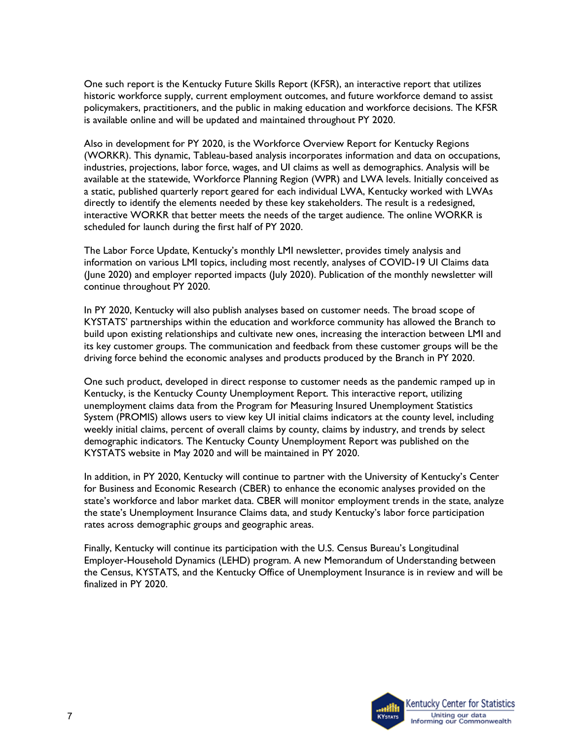One such report is the Kentucky Future Skills Report (KFSR), an interactive report that utilizes historic workforce supply, current employment outcomes, and future workforce demand to assist policymakers, practitioners, and the public in making education and workforce decisions. The KFSR is available online and will be updated and maintained throughout PY 2020.

Also in development for PY 2020, is the Workforce Overview Report for Kentucky Regions (WORKR). This dynamic, Tableau-based analysis incorporates information and data on occupations, industries, projections, labor force, wages, and UI claims as well as demographics. Analysis will be available at the statewide, Workforce Planning Region (WPR) and LWA levels. Initially conceived as a static, published quarterly report geared for each individual LWA, Kentucky worked with LWAs directly to identify the elements needed by these key stakeholders. The result is a redesigned, interactive WORKR that better meets the needs of the target audience. The online WORKR is scheduled for launch during the first half of PY 2020.

The Labor Force Update, Kentucky's monthly LMI newsletter, provides timely analysis and information on various LMI topics, including most recently, analyses of COVID-19 UI Claims data (June 2020) and employer reported impacts (July 2020). Publication of the monthly newsletter will continue throughout PY 2020.

In PY 2020, Kentucky will also publish analyses based on customer needs. The broad scope of KYSTATS' partnerships within the education and workforce community has allowed the Branch to build upon existing relationships and cultivate new ones, increasing the interaction between LMI and its key customer groups. The communication and feedback from these customer groups will be the driving force behind the economic analyses and products produced by the Branch in PY 2020.

One such product, developed in direct response to customer needs as the pandemic ramped up in Kentucky, is the Kentucky County Unemployment Report. This interactive report, utilizing unemployment claims data from the Program for Measuring Insured Unemployment Statistics System (PROMIS) allows users to view key UI initial claims indicators at the county level, including weekly initial claims, percent of overall claims by county, claims by industry, and trends by select demographic indicators. The Kentucky County Unemployment Report was published on the KYSTATS website in May 2020 and will be maintained in PY 2020.

In addition, in PY 2020, Kentucky will continue to partner with the University of Kentucky's Center for Business and Economic Research (CBER) to enhance the economic analyses provided on the state's workforce and labor market data. CBER will monitor employment trends in the state, analyze the state's Unemployment Insurance Claims data, and study Kentucky's labor force participation rates across demographic groups and geographic areas.

Finally, Kentucky will continue its participation with the U.S. Census Bureau's Longitudinal Employer-Household Dynamics (LEHD) program. A new Memorandum of Understanding between the Census, KYSTATS, and the Kentucky Office of Unemployment Insurance is in review and will be finalized in PY 2020.

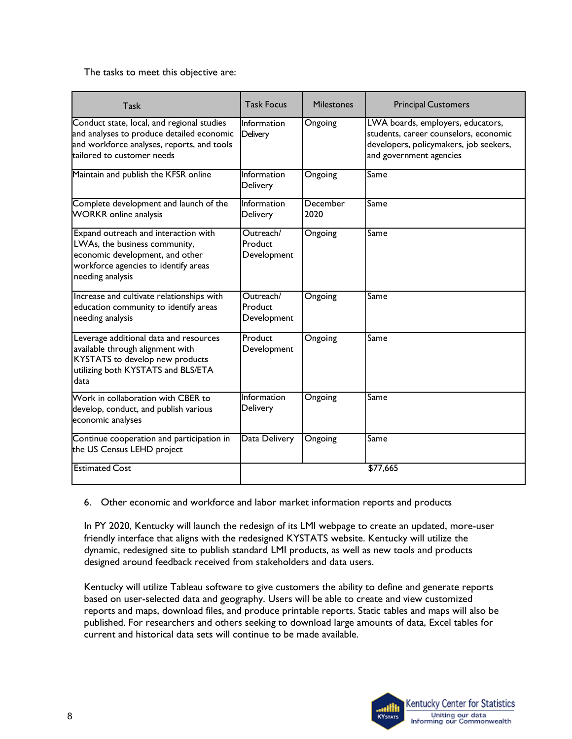The tasks to meet this objective are:

| Task                                                                                                                                                                 | <b>Task Focus</b>                   | <b>Milestones</b> | <b>Principal Customers</b>                                                                                                                      |
|----------------------------------------------------------------------------------------------------------------------------------------------------------------------|-------------------------------------|-------------------|-------------------------------------------------------------------------------------------------------------------------------------------------|
| Conduct state, local, and regional studies<br>and analyses to produce detailed economic<br>and workforce analyses, reports, and tools<br>tailored to customer needs  | Information<br>Delivery             | Ongoing           | LWA boards, employers, educators,<br>students, career counselors, economic<br>developers, policymakers, job seekers,<br>and government agencies |
| Maintain and publish the KFSR online                                                                                                                                 | Information<br>Delivery             | Ongoing           | Same                                                                                                                                            |
| Complete development and launch of the<br><b>WORKR</b> online analysis                                                                                               | Information<br><b>Delivery</b>      | December<br>2020  | Same                                                                                                                                            |
| Expand outreach and interaction with<br>LWAs, the business community,<br>economic development, and other<br>workforce agencies to identify areas<br>needing analysis | Outreach/<br>Product<br>Development | Ongoing           | Same                                                                                                                                            |
| Increase and cultivate relationships with<br>education community to identify areas<br>needing analysis                                                               | Outreach/<br>Product<br>Development | Ongoing           | Same                                                                                                                                            |
| Leverage additional data and resources<br>available through alignment with<br>KYSTATS to develop new products<br>utilizing both KYSTATS and BLS/ETA<br>data          | Product<br>Development              | Ongoing           | Same                                                                                                                                            |
| Work in collaboration with CBER to<br>develop, conduct, and publish various<br>economic analyses                                                                     | Information<br>Delivery             | Ongoing           | Same                                                                                                                                            |
| Continue cooperation and participation in<br>the US Census LEHD project                                                                                              | Data Delivery                       | Ongoing           | <b>Same</b>                                                                                                                                     |
| <b>Estimated Cost</b>                                                                                                                                                |                                     |                   | \$77,665                                                                                                                                        |

6. Other economic and workforce and labor market information reports and products

In PY 2020, Kentucky will launch the redesign of its LMI webpage to create an updated, more-user friendly interface that aligns with the redesigned KYSTATS website. Kentucky will utilize the dynamic, redesigned site to publish standard LMI products, as well as new tools and products designed around feedback received from stakeholders and data users.

Kentucky will utilize Tableau software to give customers the ability to define and generate reports based on user-selected data and geography. Users will be able to create and view customized reports and maps, download files, and produce printable reports. Static tables and maps will also be published. For researchers and others seeking to download large amounts of data, Excel tables for current and historical data sets will continue to be made available.

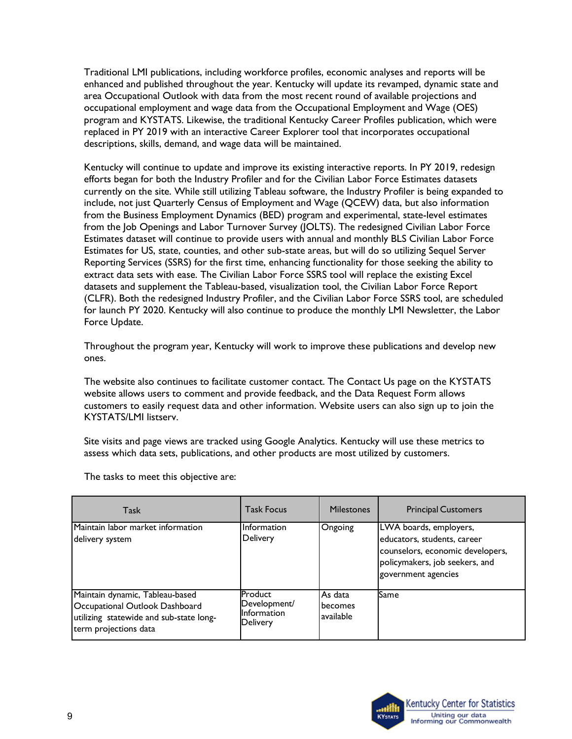Traditional LMI publications, including workforce profiles, economic analyses and reports will be enhanced and published throughout the year. Kentucky will update its revamped, dynamic state and area Occupational Outlook with data from the most recent round of available projections and occupational employment and wage data from the Occupational Employment and Wage (OES) program and KYSTATS. Likewise, the traditional Kentucky Career Profiles publication, which were replaced in PY 2019 with an interactive Career Explorer tool that incorporates occupational descriptions, skills, demand, and wage data will be maintained.

Kentucky will continue to update and improve its existing interactive reports. In PY 2019, redesign efforts began for both the Industry Profiler and for the Civilian Labor Force Estimates datasets currently on the site. While still utilizing Tableau software, the Industry Profiler is being expanded to include, not just Quarterly Census of Employment and Wage (QCEW) data, but also information from the Business Employment Dynamics (BED) program and experimental, state-level estimates from the Job Openings and Labor Turnover Survey (JOLTS). The redesigned Civilian Labor Force Estimates dataset will continue to provide users with annual and monthly BLS Civilian Labor Force Estimates for US, state, counties, and other sub-state areas, but will do so utilizing Sequel Server Reporting Services (SSRS) for the first time, enhancing functionality for those seeking the ability to extract data sets with ease. The Civilian Labor Force SSRS tool will replace the existing Excel datasets and supplement the Tableau-based, visualization tool, the Civilian Labor Force Report (CLFR). Both the redesigned Industry Profiler, and the Civilian Labor Force SSRS tool, are scheduled for launch PY 2020. Kentucky will also continue to produce the monthly LMI Newsletter, the Labor Force Update.

Throughout the program year, Kentucky will work to improve these publications and develop new ones.

The website also continues to facilitate customer contact. The Contact Us page on the KYSTATS website allows users to comment and provide feedback, and the Data Request Form allows customers to easily request data and other information. Website users can also sign up to join the KYSTATS/LMI listserv.

Site visits and page views are tracked using Google Analytics. Kentucky will use these metrics to assess which data sets, publications, and other products are most utilized by customers.

| Task                                                                                                                                  | <b>Task Focus</b>                                         | <b>Milestones</b>               | <b>Principal Customers</b>                                                                                                                         |
|---------------------------------------------------------------------------------------------------------------------------------------|-----------------------------------------------------------|---------------------------------|----------------------------------------------------------------------------------------------------------------------------------------------------|
| Maintain labor market information<br>delivery system                                                                                  | Information<br><b>Delivery</b>                            | Ongoing                         | LWA boards, employers,<br>educators, students, career<br>counselors, economic developers,<br>policymakers, job seekers, and<br>government agencies |
| Maintain dynamic, Tableau-based<br>Occupational Outlook Dashboard<br>utilizing statewide and sub-state long-<br>term projections data | Product<br>Development/<br>Information<br><b>Delivery</b> | As data<br>becomes<br>available | Same                                                                                                                                               |

The tasks to meet this objective are: